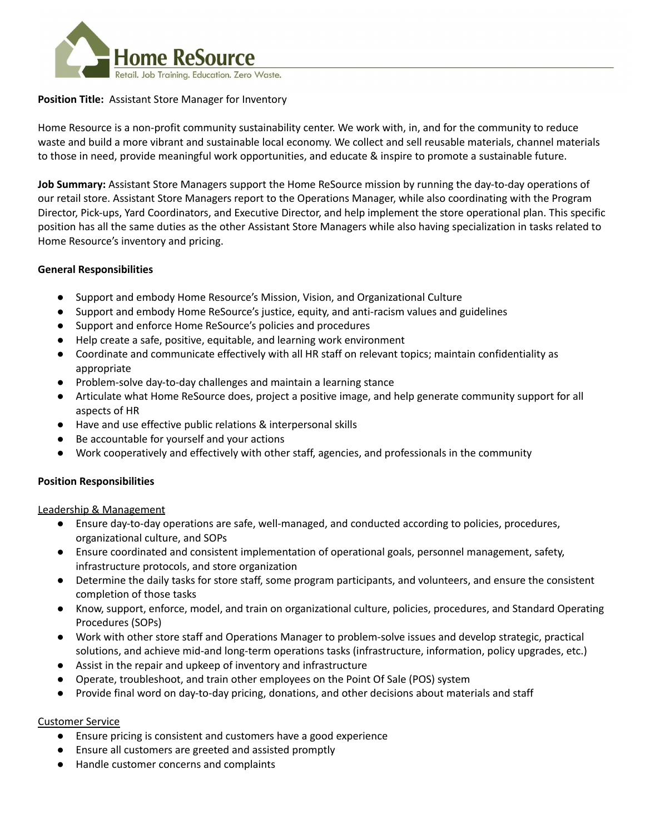

## **Position Title:** Assistant Store Manager for Inventory

Home Resource is a non-profit community sustainability center. We work with, in, and for the community to reduce waste and build a more vibrant and sustainable local economy. We collect and sell reusable materials, channel materials to those in need, provide meaningful work opportunities, and educate & inspire to promote a sustainable future.

**Job Summary:** Assistant Store Managers support the Home ReSource mission by running the day-to-day operations of our retail store. Assistant Store Managers report to the Operations Manager, while also coordinating with the Program Director, Pick-ups, Yard Coordinators, and Executive Director, and help implement the store operational plan. This specific position has all the same duties as the other Assistant Store Managers while also having specialization in tasks related to Home Resource's inventory and pricing.

## **General Responsibilities**

- Support and embody Home Resource's Mission, Vision, and Organizational Culture
- Support and embody Home ReSource's justice, equity, and anti-racism values and guidelines
- Support and enforce Home ReSource's policies and procedures
- Help create a safe, positive, equitable, and learning work environment
- Coordinate and communicate effectively with all HR staff on relevant topics; maintain confidentiality as appropriate
- Problem-solve day-to-day challenges and maintain a learning stance
- Articulate what Home ReSource does, project a positive image, and help generate community support for all aspects of HR
- Have and use effective public relations & interpersonal skills
- Be accountable for yourself and your actions
- Work cooperatively and effectively with other staff, agencies, and professionals in the community

# **Position Responsibilities**

Leadership & Management

- Ensure day-to-day operations are safe, well-managed, and conducted according to policies, procedures, organizational culture, and SOPs
- Ensure coordinated and consistent implementation of operational goals, personnel management, safety, infrastructure protocols, and store organization
- Determine the daily tasks for store staff, some program participants, and volunteers, and ensure the consistent completion of those tasks
- Know, support, enforce, model, and train on organizational culture, policies, procedures, and Standard Operating Procedures (SOPs)
- Work with other store staff and Operations Manager to problem-solve issues and develop strategic, practical solutions, and achieve mid-and long-term operations tasks (infrastructure, information, policy upgrades, etc.)
- Assist in the repair and upkeep of inventory and infrastructure
- Operate, troubleshoot, and train other employees on the Point Of Sale (POS) system
- Provide final word on day-to-day pricing, donations, and other decisions about materials and staff

# Customer Service

- Ensure pricing is consistent and customers have a good experience
- Ensure all customers are greeted and assisted promptly
- Handle customer concerns and complaints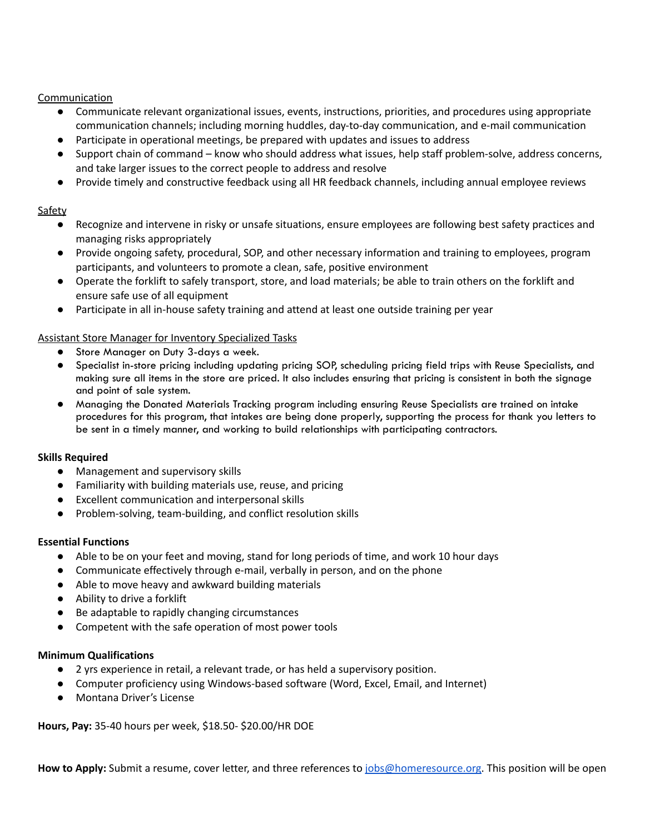# Communication

- Communicate relevant organizational issues, events, instructions, priorities, and procedures using appropriate communication channels; including morning huddles, day-to-day communication, and e-mail communication
- Participate in operational meetings, be prepared with updates and issues to address
- Support chain of command know who should address what issues, help staff problem-solve, address concerns, and take larger issues to the correct people to address and resolve
- Provide timely and constructive feedback using all HR feedback channels, including annual employee reviews

## Safety

- Recognize and intervene in risky or unsafe situations, ensure employees are following best safety practices and managing risks appropriately
- Provide ongoing safety, procedural, SOP, and other necessary information and training to employees, program participants, and volunteers to promote a clean, safe, positive environment
- Operate the forklift to safely transport, store, and load materials; be able to train others on the forklift and ensure safe use of all equipment
- Participate in all in-house safety training and attend at least one outside training per year

## Assistant Store Manager for Inventory Specialized Tasks

- Store Manager on Duty 3-days a week.
- Specialist in-store pricing including updating pricing SOP, scheduling pricing field trips with Reuse Specialists, and making sure all items in the store are priced. It also includes ensuring that pricing is consistent in both the signage and point of sale system.
- Managing the Donated Materials Tracking program including ensuring Reuse Specialists are trained on intake procedures for this program, that intakes are being done properly, supporting the process for thank you letters to be sent in a timely manner, and working to build relationships with participating contractors.

### **Skills Required**

- Management and supervisory skills
- Familiarity with building materials use, reuse, and pricing
- Excellent communication and interpersonal skills
- Problem-solving, team-building, and conflict resolution skills

### **Essential Functions**

- Able to be on your feet and moving, stand for long periods of time, and work 10 hour days
- Communicate effectively through e-mail, verbally in person, and on the phone
- Able to move heavy and awkward building materials
- Ability to drive a forklift
- Be adaptable to rapidly changing circumstances
- Competent with the safe operation of most power tools

### **Minimum Qualifications**

- 2 yrs experience in retail, a relevant trade, or has held a supervisory position.
- Computer proficiency using Windows-based software (Word, Excel, Email, and Internet)
- Montana Driver's License

**Hours, Pay:** 35-40 hours per week, \$18.50- \$20.00/HR DOE